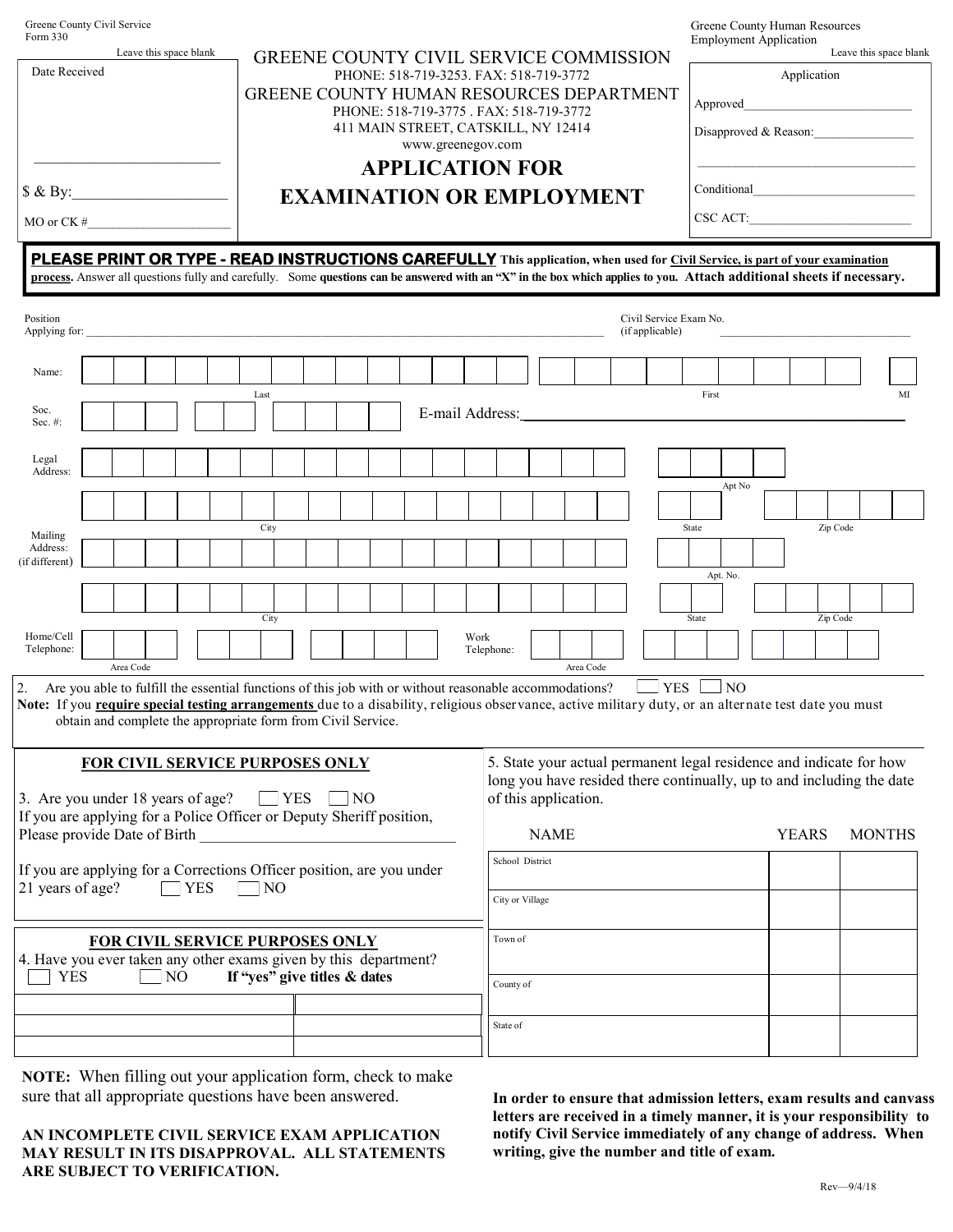| Greene County Civil Service<br>Form 330<br>Leave this space blank<br>Date Received<br>\$ & By:<br>MO or CK#<br>the control of the control of the control of                                                                                                        |  |           |  |  |  | <b>GREENE COUNTY CIVIL SERVICE COMMISSION</b><br>PHONE: 518-719-3253. FAX: 518-719-3772<br>GREENE COUNTY HUMAN RESOURCES DEPARTMENT<br>PHONE: 518-719-3775 . FAX: 518-719-3772<br>411 MAIN STREET, CATSKILL, NY 12414<br>www.greenegov.com<br><b>APPLICATION FOR</b><br><b>EXAMINATION OR EMPLOYMENT</b><br>PLEASE PRINT OR TYPE - READ INSTRUCTIONS CAREFULLY This application, when used for Civil Service, is part of your examination |                                                                                                                                                                                                                      |                                  |  |  |                                                              |  |                 |                    |  |  | Greene County Human Resources<br><b>Employment Application</b><br>Leave this space blank<br>Application<br>Approved<br>Disapproved & Reason:<br>$\text{CSC ACT:}\n$ |  |  |  |                 |          |  |  |          |    |
|--------------------------------------------------------------------------------------------------------------------------------------------------------------------------------------------------------------------------------------------------------------------|--|-----------|--|--|--|-------------------------------------------------------------------------------------------------------------------------------------------------------------------------------------------------------------------------------------------------------------------------------------------------------------------------------------------------------------------------------------------------------------------------------------------|----------------------------------------------------------------------------------------------------------------------------------------------------------------------------------------------------------------------|----------------------------------|--|--|--------------------------------------------------------------|--|-----------------|--------------------|--|--|---------------------------------------------------------------------------------------------------------------------------------------------------------------------|--|--|--|-----------------|----------|--|--|----------|----|
| process. Answer all questions fully and carefully. Some questions can be answered with an "X" in the box which applies to you. Attach additional sheets if necessary.                                                                                              |  |           |  |  |  |                                                                                                                                                                                                                                                                                                                                                                                                                                           |                                                                                                                                                                                                                      |                                  |  |  |                                                              |  |                 |                    |  |  |                                                                                                                                                                     |  |  |  |                 |          |  |  |          |    |
| Position<br>Applying for:                                                                                                                                                                                                                                          |  |           |  |  |  |                                                                                                                                                                                                                                                                                                                                                                                                                                           |                                                                                                                                                                                                                      |                                  |  |  |                                                              |  |                 |                    |  |  | Civil Service Exam No.<br>(if applicable)                                                                                                                           |  |  |  |                 |          |  |  |          |    |
| Name:                                                                                                                                                                                                                                                              |  |           |  |  |  |                                                                                                                                                                                                                                                                                                                                                                                                                                           |                                                                                                                                                                                                                      |                                  |  |  |                                                              |  |                 |                    |  |  |                                                                                                                                                                     |  |  |  |                 |          |  |  |          |    |
| Soc.<br>Sec. $#$ :                                                                                                                                                                                                                                                 |  |           |  |  |  |                                                                                                                                                                                                                                                                                                                                                                                                                                           | Last                                                                                                                                                                                                                 |                                  |  |  |                                                              |  | E-mail Address: |                    |  |  |                                                                                                                                                                     |  |  |  | First           |          |  |  |          | MI |
| Legal<br>Address:                                                                                                                                                                                                                                                  |  |           |  |  |  |                                                                                                                                                                                                                                                                                                                                                                                                                                           |                                                                                                                                                                                                                      |                                  |  |  |                                                              |  |                 |                    |  |  |                                                                                                                                                                     |  |  |  |                 |          |  |  |          |    |
|                                                                                                                                                                                                                                                                    |  |           |  |  |  |                                                                                                                                                                                                                                                                                                                                                                                                                                           |                                                                                                                                                                                                                      |                                  |  |  |                                                              |  |                 |                    |  |  |                                                                                                                                                                     |  |  |  |                 | Apt No   |  |  |          |    |
| Mailing<br>Address:<br>(if different)                                                                                                                                                                                                                              |  |           |  |  |  |                                                                                                                                                                                                                                                                                                                                                                                                                                           | City                                                                                                                                                                                                                 |                                  |  |  |                                                              |  |                 |                    |  |  |                                                                                                                                                                     |  |  |  | State           |          |  |  | Zip Code |    |
|                                                                                                                                                                                                                                                                    |  |           |  |  |  |                                                                                                                                                                                                                                                                                                                                                                                                                                           |                                                                                                                                                                                                                      |                                  |  |  |                                                              |  |                 |                    |  |  |                                                                                                                                                                     |  |  |  |                 | Apt. No. |  |  |          |    |
| Home/Cell<br>Telephone:                                                                                                                                                                                                                                            |  | Area Code |  |  |  |                                                                                                                                                                                                                                                                                                                                                                                                                                           |                                                                                                                                                                                                                      | City                             |  |  |                                                              |  |                 | Work<br>Telephone: |  |  | Area Code                                                                                                                                                           |  |  |  | State           |          |  |  | Zip Code |    |
| 2. Are you able to fulfill the essential functions of this job with or without reasonable accommodations?<br>Note: If you require special testing arrangements due to a disability, religious observance, active military duty, or an alternate test date you must |  |           |  |  |  |                                                                                                                                                                                                                                                                                                                                                                                                                                           |                                                                                                                                                                                                                      |                                  |  |  | obtain and complete the appropriate form from Civil Service. |  |                 |                    |  |  |                                                                                                                                                                     |  |  |  | $YES$ $\Box$ NO |          |  |  |          |    |
| FOR CIVIL SERVICE PURPOSES ONLY<br>3. Are you under 18 years of age?<br>YES<br>$\overline{N}$<br>If you are applying for a Police Officer or Deputy Sheriff position,<br>Please provide Date of Birth                                                              |  |           |  |  |  |                                                                                                                                                                                                                                                                                                                                                                                                                                           | 5. State your actual permanent legal residence and indicate for how<br>long you have resided there continually, up to and including the date<br>of this application.<br><b>NAME</b><br><b>YEARS</b><br><b>MONTHS</b> |                                  |  |  |                                                              |  |                 |                    |  |  |                                                                                                                                                                     |  |  |  |                 |          |  |  |          |    |
| If you are applying for a Corrections Officer position, are you under<br>21 years of age?<br>$\overline{\phantom{a}}$ YES<br>NO                                                                                                                                    |  |           |  |  |  |                                                                                                                                                                                                                                                                                                                                                                                                                                           | School District<br>City or Village                                                                                                                                                                                   |                                  |  |  |                                                              |  |                 |                    |  |  |                                                                                                                                                                     |  |  |  |                 |          |  |  |          |    |
| <b>FOR CIVIL SERVICE PURPOSES ONLY</b><br>4. Have you ever taken any other exams given by this department?<br><b>YES</b><br>NO<br>If "yes" give titles & dates                                                                                                     |  |           |  |  |  |                                                                                                                                                                                                                                                                                                                                                                                                                                           |                                                                                                                                                                                                                      | Town of<br>County of<br>State of |  |  |                                                              |  |                 |                    |  |  |                                                                                                                                                                     |  |  |  |                 |          |  |  |          |    |
|                                                                                                                                                                                                                                                                    |  |           |  |  |  |                                                                                                                                                                                                                                                                                                                                                                                                                                           |                                                                                                                                                                                                                      |                                  |  |  |                                                              |  |                 |                    |  |  |                                                                                                                                                                     |  |  |  |                 |          |  |  |          |    |

**NOTE:** When filling out your application form, check to make sure that all appropriate questions have been answered.

**AN INCOMPLETE CIVIL SERVICE EXAM APPLICATION MAY RESULT IN ITS DISAPPROVAL. ALL STATEMENTS ARE SUBJECT TO VERIFICATION.**

**In order to ensure that admission letters, exam results and canvass letters are received in a timely manner, it is your responsibility to notify Civil Service immediately of any change of address. When writing, give the number and title of exam.**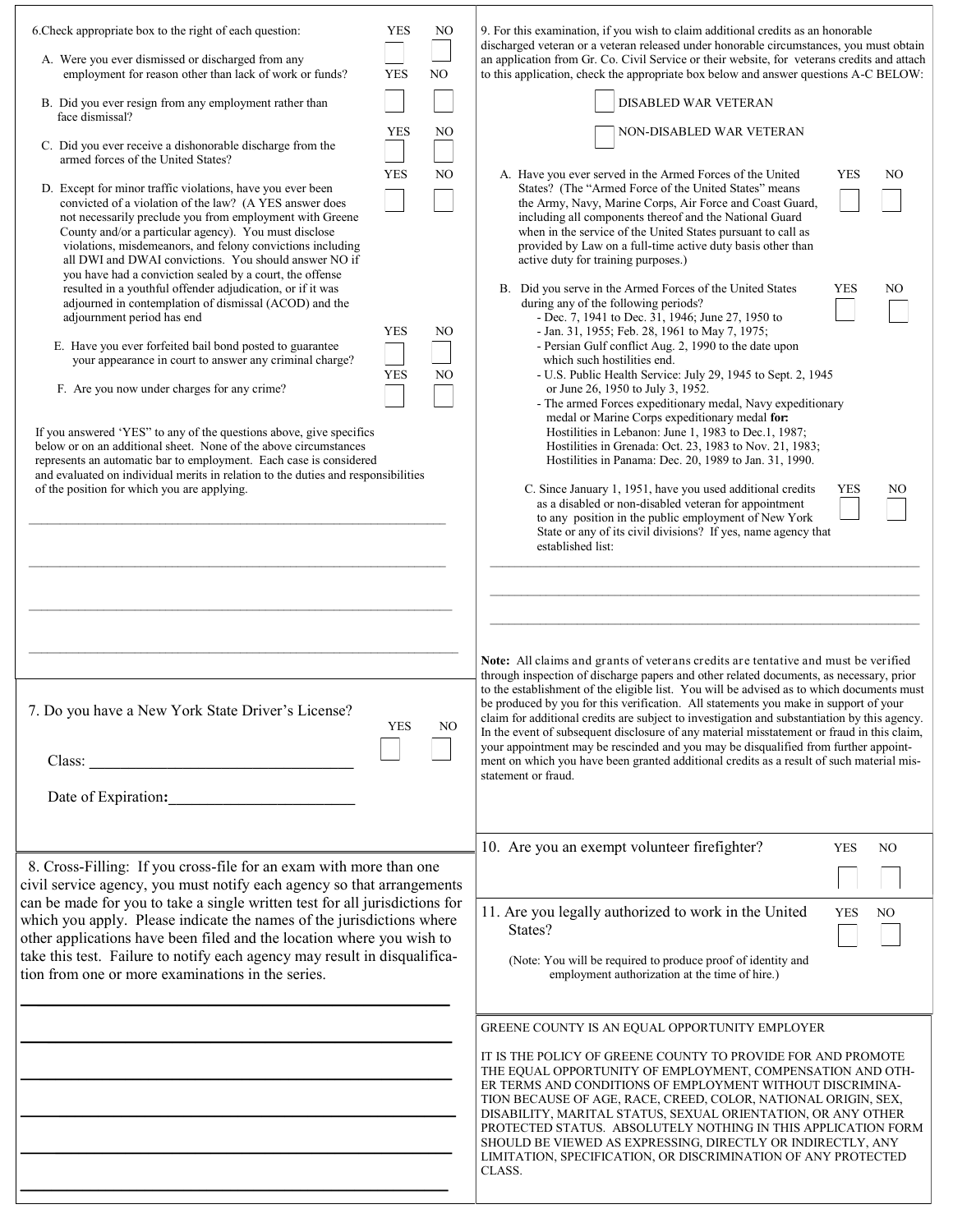| 6. Check appropriate box to the right of each question:<br>A. Were you ever dismissed or discharged from any<br>employment for reason other than lack of work or funds?                                                                                                                                                                                                                                                       | <b>YES</b><br><b>YES</b> | NO<br>NO. | 9. For this examination, if you wish to claim additional credits as an honorable<br>discharged veteran or a veteran released under honorable circumstances, you must obtain<br>an application from Gr. Co. Civil Service or their website, for veterans credits and attach<br>to this application, check the appropriate box below and answer questions A-C BELOW:                                                                                                                                                                                                                                                                                                           |
|-------------------------------------------------------------------------------------------------------------------------------------------------------------------------------------------------------------------------------------------------------------------------------------------------------------------------------------------------------------------------------------------------------------------------------|--------------------------|-----------|------------------------------------------------------------------------------------------------------------------------------------------------------------------------------------------------------------------------------------------------------------------------------------------------------------------------------------------------------------------------------------------------------------------------------------------------------------------------------------------------------------------------------------------------------------------------------------------------------------------------------------------------------------------------------|
| B. Did you ever resign from any employment rather than<br>face dismissal?                                                                                                                                                                                                                                                                                                                                                     |                          |           | DISABLED WAR VETERAN                                                                                                                                                                                                                                                                                                                                                                                                                                                                                                                                                                                                                                                         |
| C. Did you ever receive a dishonorable discharge from the<br>armed forces of the United States?                                                                                                                                                                                                                                                                                                                               | <b>YES</b>               | NO        | NON-DISABLED WAR VETERAN                                                                                                                                                                                                                                                                                                                                                                                                                                                                                                                                                                                                                                                     |
| D. Except for minor traffic violations, have you ever been<br>convicted of a violation of the law? (A YES answer does<br>not necessarily preclude you from employment with Greene<br>County and/or a particular agency). You must disclose<br>violations, misdemeanors, and felony convictions including<br>all DWI and DWAI convictions. You should answer NO if<br>you have had a conviction sealed by a court, the offense | <b>YES</b>               | NO        | <b>YES</b><br>A. Have you ever served in the Armed Forces of the United<br>NO<br>States? (The "Armed Force of the United States" means<br>the Army, Navy, Marine Corps, Air Force and Coast Guard,<br>including all components thereof and the National Guard<br>when in the service of the United States pursuant to call as<br>provided by Law on a full-time active duty basis other than<br>active duty for training purposes.)                                                                                                                                                                                                                                          |
| resulted in a youthful offender adjudication, or if it was<br>adjourned in contemplation of dismissal (ACOD) and the<br>adjournment period has end<br>E. Have you ever forfeited bail bond posted to guarantee<br>your appearance in court to answer any criminal charge?<br>F. Are you now under charges for any crime?                                                                                                      | <b>YES</b><br><b>YES</b> | NO.<br>NO | B. Did you serve in the Armed Forces of the United States<br><b>YES</b><br>NO<br>during any of the following periods?<br>- Dec. 7, 1941 to Dec. 31, 1946; June 27, 1950 to<br>- Jan. 31, 1955; Feb. 28, 1961 to May 7, 1975;<br>- Persian Gulf conflict Aug. 2, 1990 to the date upon<br>which such hostilities end.<br>- U.S. Public Health Service: July 29, 1945 to Sept. 2, 1945<br>or June 26, 1950 to July 3, 1952.                                                                                                                                                                                                                                                    |
| If you answered 'YES" to any of the questions above, give specifics<br>below or on an additional sheet. None of the above circumstances<br>represents an automatic bar to employment. Each case is considered<br>and evaluated on individual merits in relation to the duties and responsibilities<br>of the position for which you are applying.                                                                             |                          |           | - The armed Forces expeditionary medal, Navy expeditionary<br>medal or Marine Corps expeditionary medal for:<br>Hostilities in Lebanon: June 1, 1983 to Dec.1, 1987;<br>Hostilities in Grenada: Oct. 23, 1983 to Nov. 21, 1983;<br>Hostilities in Panama: Dec. 20, 1989 to Jan. 31, 1990.<br>C. Since January 1, 1951, have you used additional credits<br><b>YES</b><br>NO<br>as a disabled or non-disabled veteran for appointment<br>to any position in the public employment of New York<br>State or any of its civil divisions? If yes, name agency that                                                                                                                |
| 7. Do you have a New York State Driver's License?                                                                                                                                                                                                                                                                                                                                                                             | <b>YES</b>               | NO        | established list:<br>Note: All claims and grants of veterans credits are tentative and must be verified<br>through inspection of discharge papers and other related documents, as necessary, prior<br>to the establishment of the eligible list. You will be advised as to which documents must<br>be produced by you for this verification. All statements you make in support of your<br>claim for additional credits are subject to investigation and substantiation by this agency.<br>In the event of subsequent disclosure of any material misstatement or fraud in this claim,<br>your appointment may be rescinded and you may be disqualified from further appoint- |
| Date of Expiration:                                                                                                                                                                                                                                                                                                                                                                                                           |                          |           | ment on which you have been granted additional credits as a result of such material mis-<br>statement or fraud.                                                                                                                                                                                                                                                                                                                                                                                                                                                                                                                                                              |
| 8. Cross-Filling: If you cross-file for an exam with more than one<br>civil service agency, you must notify each agency so that arrangements                                                                                                                                                                                                                                                                                  |                          |           | 10. Are you an exempt volunteer firefighter?<br><b>YES</b><br>NO.                                                                                                                                                                                                                                                                                                                                                                                                                                                                                                                                                                                                            |
| can be made for you to take a single written test for all jurisdictions for<br>which you apply. Please indicate the names of the jurisdictions where<br>other applications have been filed and the location where you wish to<br>take this test. Failure to notify each agency may result in disqualifica-<br>tion from one or more examinations in the series.                                                               |                          |           | 11. Are you legally authorized to work in the United<br><b>YES</b><br>N <sub>O</sub><br>States?<br>(Note: You will be required to produce proof of identity and<br>employment authorization at the time of hire.)                                                                                                                                                                                                                                                                                                                                                                                                                                                            |
|                                                                                                                                                                                                                                                                                                                                                                                                                               |                          |           | GREENE COUNTY IS AN EQUAL OPPORTUNITY EMPLOYER<br>IT IS THE POLICY OF GREENE COUNTY TO PROVIDE FOR AND PROMOTE<br>THE EQUAL OPPORTUNITY OF EMPLOYMENT, COMPENSATION AND OTH-<br>ER TERMS AND CONDITIONS OF EMPLOYMENT WITHOUT DISCRIMINA-<br>TION BECAUSE OF AGE, RACE, CREED, COLOR, NATIONAL ORIGIN, SEX,<br>DISABILITY, MARITAL STATUS, SEXUAL ORIENTATION, OR ANY OTHER<br>PROTECTED STATUS. ABSOLUTELY NOTHING IN THIS APPLICATION FORM<br>SHOULD BE VIEWED AS EXPRESSING, DIRECTLY OR INDIRECTLY, ANY<br>LIMITATION, SPECIFICATION, OR DISCRIMINATION OF ANY PROTECTED<br>CLASS.                                                                                       |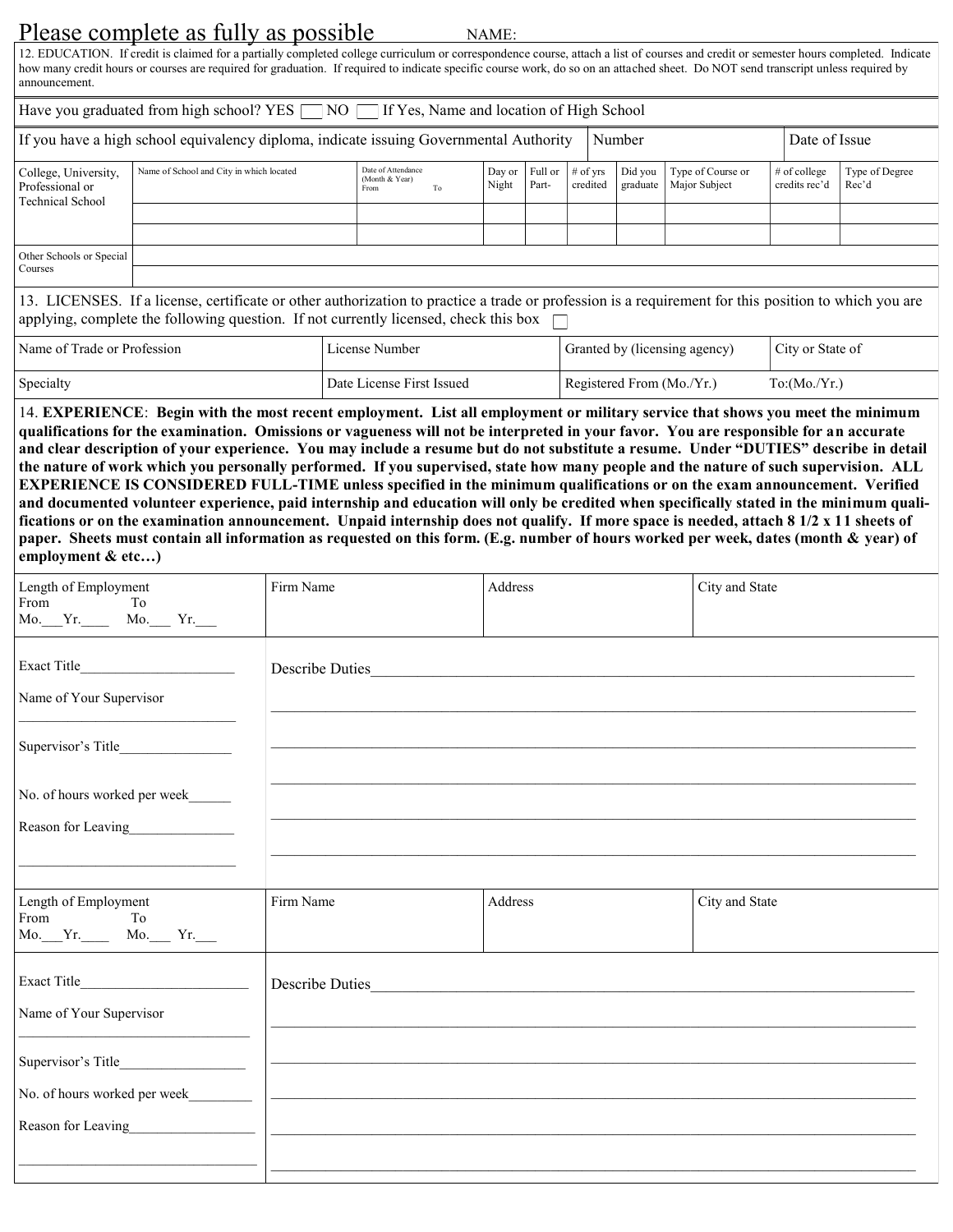## Please complete as fully as possible

NAME:

12. EDUCATION. If credit is claimed for a partially completed college curriculum or correspondence course, attach a list of courses and credit or semester hours completed. Indicate how many credit hours or courses are required for graduation. If required to indicate specific course work, do so on an attached sheet. Do NOT send transcript unless required by announcement.

| Have you graduated from high school? YES $\Box$ NO $\Box$ If Yes, Name and location of High School                                                   |                                                                                        |                                                    |  |                 |                  |                        |                     |                                    |  |                                 |                         |
|------------------------------------------------------------------------------------------------------------------------------------------------------|----------------------------------------------------------------------------------------|----------------------------------------------------|--|-----------------|------------------|------------------------|---------------------|------------------------------------|--|---------------------------------|-------------------------|
|                                                                                                                                                      | If you have a high school equivalency diploma, indicate issuing Governmental Authority |                                                    |  |                 |                  |                        | Number              |                                    |  | Date of Issue                   |                         |
| College, University,<br>Professional or<br><b>Technical School</b>                                                                                   | Name of School and City in which located                                               | Date of Attendance<br>(Month & Year)<br>To<br>From |  | Day or<br>Night | Full or<br>Part- | $#$ of vrs<br>credited | Did vou<br>graduate | Type of Course or<br>Major Subject |  | $#$ of college<br>credits rec'd | Type of Degree<br>Rec'd |
|                                                                                                                                                      |                                                                                        |                                                    |  |                 |                  |                        |                     |                                    |  |                                 |                         |
|                                                                                                                                                      |                                                                                        |                                                    |  |                 |                  |                        |                     |                                    |  |                                 |                         |
| Other Schools or Special                                                                                                                             |                                                                                        |                                                    |  |                 |                  |                        |                     |                                    |  |                                 |                         |
| Courses                                                                                                                                              |                                                                                        |                                                    |  |                 |                  |                        |                     |                                    |  |                                 |                         |
| 13. LICENSES. If a license, certificate or other authorization to practice a trade or profession is a requirement for this position to which you are |                                                                                        |                                                    |  |                 |                  |                        |                     |                                    |  |                                 |                         |

| applying, complete the following question. If not currently licensed, check this box |                           |                               |                  |  |  |  |  |  |
|--------------------------------------------------------------------------------------|---------------------------|-------------------------------|------------------|--|--|--|--|--|
| Name of Trade or Profession                                                          | License Number            | Granted by (licensing agency) | City or State of |  |  |  |  |  |
| Specialty                                                                            | Date License First Issued | Registered From (Mo./Yr.)     | To:(Mo/Yr.)      |  |  |  |  |  |

14. **EXPERIENCE**: **Begin with the most recent employment. List all employment or military service that shows you meet the minimum qualifications for the examination. Omissions or vagueness will not be interpreted in your favor. You are responsible for an accurate and clear description of your experience. You may include a resume but do not substitute a resume. Under "DUTIES" describe in detail the nature of work which you personally performed. If you supervised, state how many people and the nature of such supervision. ALL EXPERIENCE IS CONSIDERED FULL-TIME unless specified in the minimum qualifications or on the exam announcement. Verified and documented volunteer experience, paid internship and education will only be credited when specifically stated in the minimum qualifications or on the examination announcement. Unpaid internship does not qualify. If more space is needed, attach 8 1/2 x 11 sheets of paper. Sheets must contain all information as requested on this form. (E.g. number of hours worked per week, dates (month & year) of employment & etc…)**

| Length of Employment<br>From<br>To To<br>Mo. Yr. Mo. Yr.                        | Firm Name       | Address | City and State |
|---------------------------------------------------------------------------------|-----------------|---------|----------------|
|                                                                                 | Describe Duties |         |                |
| Name of Your Supervisor                                                         |                 |         |                |
|                                                                                 |                 |         |                |
| No. of hours worked per week                                                    |                 |         |                |
| Reason for Leaving                                                              |                 |         |                |
| the contract of the contract of the contract of the contract of the contract of |                 |         |                |
| Length of Employment<br>From<br>To To<br>Mo.___Yr.______ Mo.____ Yr.____        | Firm Name       | Address | City and State |
|                                                                                 | Describe Duties |         |                |
| Name of Your Supervisor                                                         |                 |         |                |
|                                                                                 |                 |         |                |
|                                                                                 |                 |         |                |
| Reason for Leaving                                                              |                 |         |                |
|                                                                                 |                 |         |                |